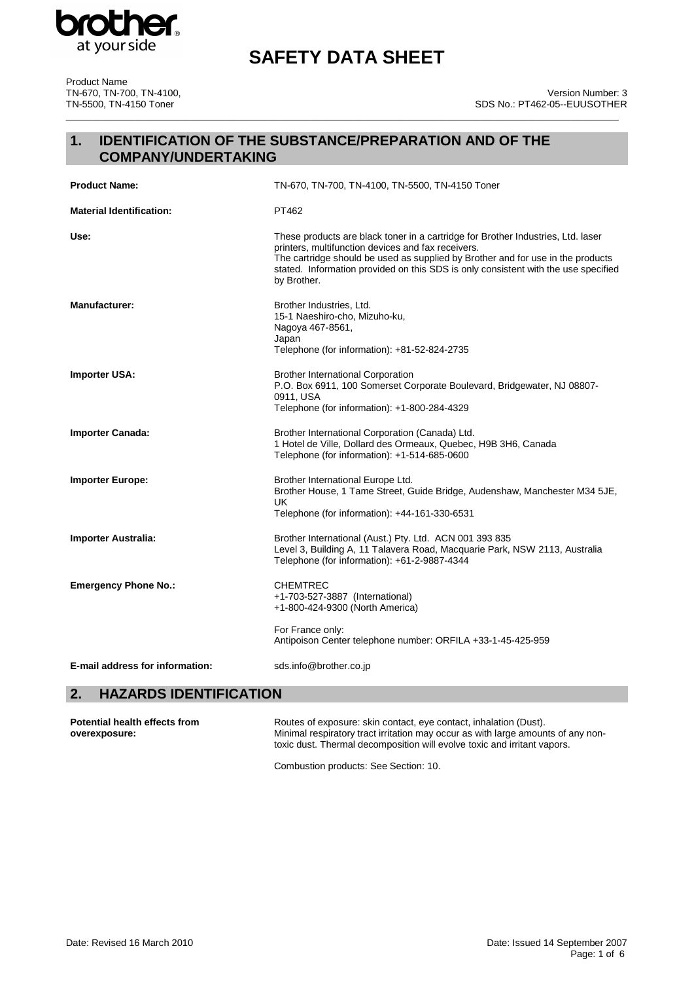

Product Name TN-670, TN-700, TN-4100, TN-5500, TN-4150 Toner

# **SAFETY DATA SHEET**

# **1. IDENTIFICATION OF THE SUBSTANCE/PREPARATION AND OF THE COMPANY/UNDERTAKING**

| <b>Product Name:</b>                   | TN-670, TN-700, TN-4100, TN-5500, TN-4150 Toner                                                                                                                                                                                                                                                                                |
|----------------------------------------|--------------------------------------------------------------------------------------------------------------------------------------------------------------------------------------------------------------------------------------------------------------------------------------------------------------------------------|
| <b>Material Identification:</b>        | PT462                                                                                                                                                                                                                                                                                                                          |
| Use:                                   | These products are black toner in a cartridge for Brother Industries, Ltd. laser<br>printers, multifunction devices and fax receivers.<br>The cartridge should be used as supplied by Brother and for use in the products<br>stated. Information provided on this SDS is only consistent with the use specified<br>by Brother. |
| <b>Manufacturer:</b>                   | Brother Industries, Ltd.<br>15-1 Naeshiro-cho, Mizuho-ku,<br>Nagoya 467-8561,<br>Japan<br>Telephone (for information): +81-52-824-2735                                                                                                                                                                                         |
| <b>Importer USA:</b>                   | <b>Brother International Corporation</b><br>P.O. Box 6911, 100 Somerset Corporate Boulevard, Bridgewater, NJ 08807-<br>0911, USA<br>Telephone (for information): +1-800-284-4329                                                                                                                                               |
| <b>Importer Canada:</b>                | Brother International Corporation (Canada) Ltd.<br>1 Hotel de Ville, Dollard des Ormeaux, Quebec, H9B 3H6, Canada<br>Telephone (for information): +1-514-685-0600                                                                                                                                                              |
| <b>Importer Europe:</b>                | Brother International Europe Ltd.<br>Brother House, 1 Tame Street, Guide Bridge, Audenshaw, Manchester M34 5JE,<br><b>UK</b><br>Telephone (for information): +44-161-330-6531                                                                                                                                                  |
| Importer Australia:                    | Brother International (Aust.) Pty. Ltd. ACN 001 393 835<br>Level 3, Building A, 11 Talavera Road, Macquarie Park, NSW 2113, Australia<br>Telephone (for information): +61-2-9887-4344                                                                                                                                          |
| <b>Emergency Phone No.:</b>            | <b>CHEMTREC</b><br>+1-703-527-3887 (International)<br>+1-800-424-9300 (North America)                                                                                                                                                                                                                                          |
|                                        | For France only:<br>Antipoison Center telephone number: ORFILA +33-1-45-425-959                                                                                                                                                                                                                                                |
| <b>E-mail address for information:</b> | sds.info@brother.co.jp                                                                                                                                                                                                                                                                                                         |

# **2. HAZARDS IDENTIFICATION**

| Potential health effects from | Routes of exposure: skin contact, eye contact, inhalation (Dust).                                                                                            |
|-------------------------------|--------------------------------------------------------------------------------------------------------------------------------------------------------------|
| overexposure:                 | Minimal respiratory tract irritation may occur as with large amounts of any non-<br>toxic dust. Thermal decomposition will evolve toxic and irritant vapors. |

Combustion products: See Section: 10.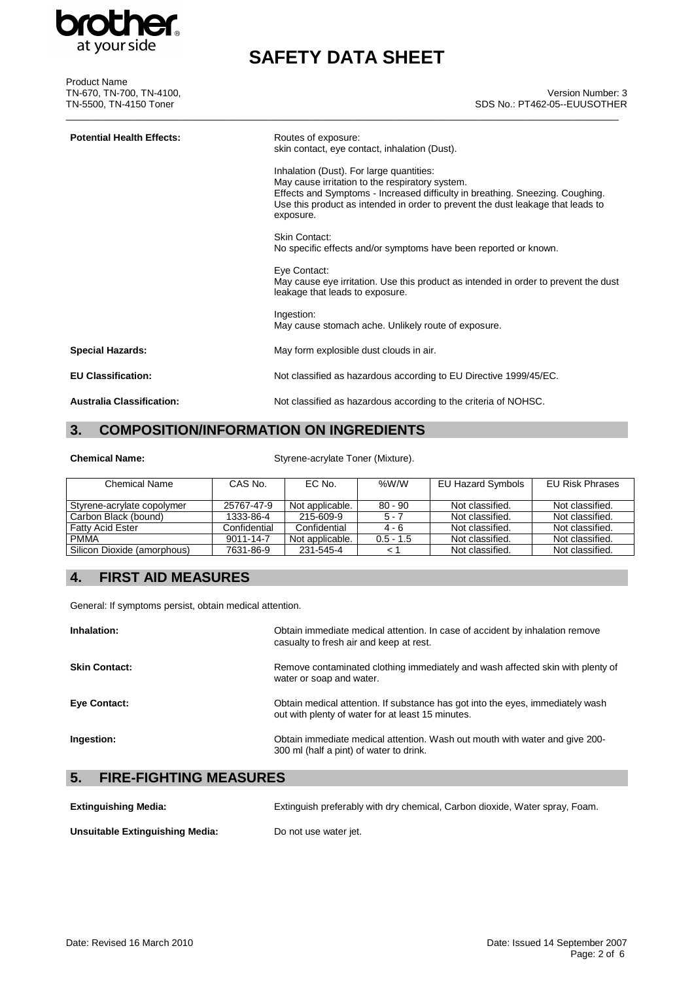

Product Name TN-670, TN-700, TN-4100, TN-5500, TN-4150 Toner

# **SAFETY DATA SHEET**

### Version Number: 3 SDS No.: PT462-05--EUUSOTHER

| <b>Potential Health Effects:</b> | Routes of exposure:<br>skin contact, eye contact, inhalation (Dust).<br>Inhalation (Dust). For large quantities:<br>May cause irritation to the respiratory system.<br>Effects and Symptoms - Increased difficulty in breathing. Sneezing. Coughing.<br>Use this product as intended in order to prevent the dust leakage that leads to<br>exposure. |
|----------------------------------|------------------------------------------------------------------------------------------------------------------------------------------------------------------------------------------------------------------------------------------------------------------------------------------------------------------------------------------------------|
|                                  | Skin Contact:<br>No specific effects and/or symptoms have been reported or known.                                                                                                                                                                                                                                                                    |
|                                  | Eye Contact:<br>May cause eye irritation. Use this product as intended in order to prevent the dust<br>leakage that leads to exposure.                                                                                                                                                                                                               |
|                                  | Ingestion:<br>May cause stomach ache. Unlikely route of exposure.                                                                                                                                                                                                                                                                                    |
| <b>Special Hazards:</b>          | May form explosible dust clouds in air.                                                                                                                                                                                                                                                                                                              |
| <b>EU Classification:</b>        | Not classified as hazardous according to EU Directive 1999/45/EC.                                                                                                                                                                                                                                                                                    |
| <b>Australia Classification:</b> | Not classified as hazardous according to the criteria of NOHSC.                                                                                                                                                                                                                                                                                      |

# **3. COMPOSITION/INFORMATION ON INGREDIENTS**

**Chemical Name:** Styrene-acrylate Toner (Mixture).

| <b>Chemical Name</b>        | CAS No.      | EC No.          | %W/W        | EU Hazard Symbols | EU Risk Phrases |
|-----------------------------|--------------|-----------------|-------------|-------------------|-----------------|
| Styrene-acrylate copolymer  | 25767-47-9   | Not applicable. | $80 - 90$   | Not classified.   | Not classified. |
| Carbon Black (bound)        | 1333-86-4    | 215-609-9       | $5 - 7$     | Not classified.   | Not classified. |
| <b>Fatty Acid Ester</b>     | Confidential | Confidential    | $4 - 6$     | Not classified.   | Not classified. |
| <b>PMMA</b>                 | 9011-14-7    | Not applicable. | $0.5 - 1.5$ | Not classified.   | Not classified. |
| Silicon Dioxide (amorphous) | 7631-86-9    | 231-545-4       |             | Not classified.   | Not classified. |

# **4. FIRST AID MEASURES**

General: If symptoms persist, obtain medical attention.

| Inhalation:                         | Obtain immediate medical attention. In case of accident by inhalation remove<br>casualty to fresh air and keep at rest.             |
|-------------------------------------|-------------------------------------------------------------------------------------------------------------------------------------|
| <b>Skin Contact:</b>                | Remove contaminated clothing immediately and wash affected skin with plenty of<br>water or soap and water.                          |
| Eye Contact:                        | Obtain medical attention. If substance has got into the eyes, immediately wash<br>out with plenty of water for at least 15 minutes. |
| Ingestion:                          | Obtain immediate medical attention. Wash out mouth with water and give 200-<br>300 ml (half a pint) of water to drink.              |
| 5.<br><b>FIRE-FIGHTING MEASURES</b> |                                                                                                                                     |

| <b>Extinguishing Media:</b>     | Extinguish preferably with dry chemical, Carbon dioxide, Water spray, Foam. |
|---------------------------------|-----------------------------------------------------------------------------|
| Unsuitable Extinguishing Media: | Do not use water jet.                                                       |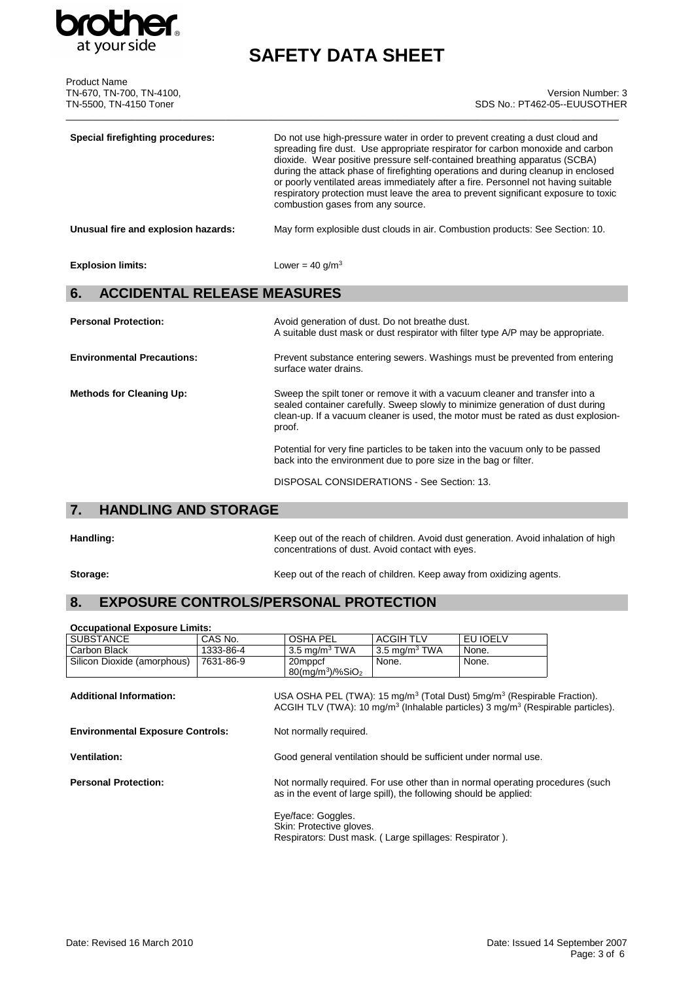

# **SAFETY DATA SHEET**

| <b>Product Name</b><br>TN-670, TN-700, TN-4100,<br>TN-5500, TN-4150 Toner | Version Number: 3<br>SDS No.: PT462-05--EUUSOTHER                                                                                                                                                                                                                                                                                                                                                                                                                                                                                                  |
|---------------------------------------------------------------------------|----------------------------------------------------------------------------------------------------------------------------------------------------------------------------------------------------------------------------------------------------------------------------------------------------------------------------------------------------------------------------------------------------------------------------------------------------------------------------------------------------------------------------------------------------|
| <b>Special firefighting procedures:</b>                                   | Do not use high-pressure water in order to prevent creating a dust cloud and<br>spreading fire dust. Use appropriate respirator for carbon monoxide and carbon<br>dioxide. Wear positive pressure self-contained breathing apparatus (SCBA)<br>during the attack phase of firefighting operations and during cleanup in enclosed<br>or poorly ventilated areas immediately after a fire. Personnel not having suitable<br>respiratory protection must leave the area to prevent significant exposure to toxic<br>combustion gases from any source. |
| Unusual fire and explosion hazards:                                       | May form explosible dust clouds in air. Combustion products: See Section: 10.                                                                                                                                                                                                                                                                                                                                                                                                                                                                      |
| <b>Explosion limits:</b>                                                  | Lower = $40$ g/m <sup>3</sup>                                                                                                                                                                                                                                                                                                                                                                                                                                                                                                                      |
| <b>ACCIDENTAL RELEASE MEASURES</b><br>6.                                  |                                                                                                                                                                                                                                                                                                                                                                                                                                                                                                                                                    |
| <b>Personal Protection:</b>                                               | Avoid generation of dust. Do not breathe dust.<br>A suitable dust mask or dust respirator with filter type A/P may be appropriate.                                                                                                                                                                                                                                                                                                                                                                                                                 |
| <b>Environmental Precautions:</b>                                         | Prevent substance entering sewers. Washings must be prevented from entering<br>surface water drains.                                                                                                                                                                                                                                                                                                                                                                                                                                               |
| <b>Methods for Cleaning Up:</b>                                           | Sweep the spilt toner or remove it with a vacuum cleaner and transfer into a<br>sealed container carefully. Sweep slowly to minimize generation of dust during<br>clean-up. If a vacuum cleaner is used, the motor must be rated as dust explosion-<br>proof.                                                                                                                                                                                                                                                                                      |

Potential for very fine particles to be taken into the vacuum only to be passed back into the environment due to pore size in the bag or filter.

DISPOSAL CONSIDERATIONS - See Section: 13.

# **7. HANDLING AND STORAGE**

Handling: **Handling:** Keep out of the reach of children. Avoid dust generation. Avoid inhalation of high concentrations of dust. Avoid contact with eyes.

**Storage:** Storage: **Keep out of the reach of children. Keep away from oxidizing agents.** 

# **8. EXPOSURE CONTROLS/PERSONAL PROTECTION**

| <b>Occupational Exposure Limits:</b>    |                        |                                                                                                          |                  |                                                                                                                                                                                                            |  |
|-----------------------------------------|------------------------|----------------------------------------------------------------------------------------------------------|------------------|------------------------------------------------------------------------------------------------------------------------------------------------------------------------------------------------------------|--|
| <b>SUBSTANCE</b>                        | CAS No.                | OSHA PEL                                                                                                 | <b>ACGIH TLV</b> | EU IOELV                                                                                                                                                                                                   |  |
| Carbon Black                            | 1333-86-4              | $3.5 \text{ mg/m}^3$ TWA                                                                                 | 3.5 mg/m $3$ TWA | None.                                                                                                                                                                                                      |  |
| Silicon Dioxide (amorphous)             | 7631-86-9              | 20mppcf<br>$80$ (mg/m <sup>3</sup> )/%SiO <sub>2</sub>                                                   | None.            | None.                                                                                                                                                                                                      |  |
| <b>Additional Information:</b>          |                        |                                                                                                          |                  | USA OSHA PEL (TWA): 15 mg/m <sup>3</sup> (Total Dust) 5mg/m <sup>3</sup> (Respirable Fraction).<br>ACGIH TLV (TWA): 10 mg/m <sup>3</sup> (Inhalable particles) 3 mg/m <sup>3</sup> (Respirable particles). |  |
| <b>Environmental Exposure Controls:</b> | Not normally required. |                                                                                                          |                  |                                                                                                                                                                                                            |  |
| <b>Ventilation:</b>                     |                        | Good general ventilation should be sufficient under normal use.                                          |                  |                                                                                                                                                                                                            |  |
| <b>Personal Protection:</b>             |                        | as in the event of large spill), the following should be applied:                                        |                  | Not normally required. For use other than in normal operating procedures (such                                                                                                                             |  |
|                                         |                        | Eye/face: Goggles.<br>Skin: Protective gloves.<br>Respirators: Dust mask. (Large spillages: Respirator). |                  |                                                                                                                                                                                                            |  |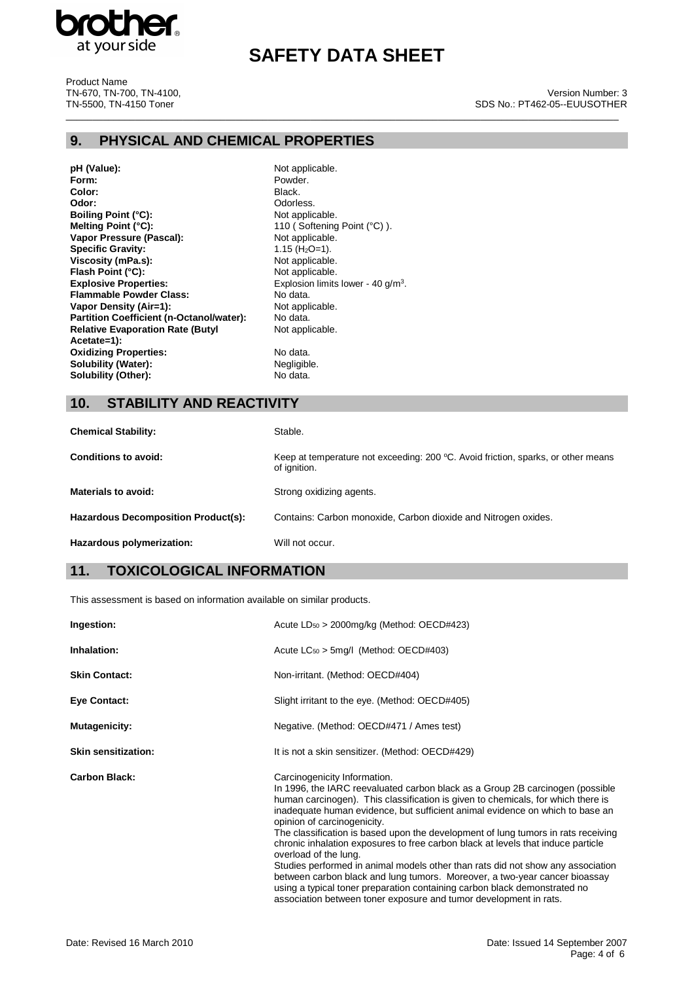

# **SAFETY DATA SHEET**

\_\_\_\_\_\_\_\_\_\_\_\_\_\_\_\_\_\_\_\_\_\_\_\_\_\_\_\_\_\_\_\_\_\_\_\_\_\_\_\_\_\_\_\_\_\_\_\_\_\_\_\_\_\_\_\_\_\_\_\_\_\_\_\_\_\_\_\_\_\_\_\_\_\_\_\_\_\_\_\_\_\_\_\_\_\_\_\_\_\_\_\_\_\_\_\_\_\_\_\_\_\_\_\_

Product Name TN-670, TN-700, TN-4100, TN-5500, TN-4150 Toner

#### Version Number: 3 SDS No.: PT462-05--EUUSOTHER

## **9. PHYSICAL AND CHEMICAL PROPERTIES**

- **pH (Value):** Not applicable.<br> **Form:** Powder. Color:<br>Odor: **Boiling Point (°C):**<br>Melting Point (°C): **Vapor Pressure (Pascal):** Not applicable<br> **Specific Gravity:** 1.15 (H<sub>2</sub>O=1). **Specific Gravity: Viscosity (mPa.s):** Not applicable.<br>
Flash Point (°C): Not applicable. **Flash Point (°C):**<br>Explosive Properties: **Explosive Properties:** Explosion limits lower - 40 g/m<sup>3</sup>. **Flammable Powder Class:** No data.<br> **Vapor Density (Air=1):** Not applicable. **Vapor Density (Air=1):** Not applicable. Not applicable. Not applicable. No data. **Partition Coefficient (n-Octanol/water): Relative Evaporation Rate (Butyl Acetate=1): Oxidizing Properties:** No data.<br> **Solubility (Water):** Negligible. **Solubility (Water):**<br> **Solubility (Other):** No data. **Solubility (Other):** 
	- Powder.<br>Black. Odorless.<br>Not applicable. 110 (Softening Point (°C)).<br>Not applicable. Not applicable.

### **10. STABILITY AND REACTIVITY**

| <b>Chemical Stability:</b>          | Stable.                                                                                           |
|-------------------------------------|---------------------------------------------------------------------------------------------------|
| Conditions to avoid:                | Keep at temperature not exceeding: 200 °C. Avoid friction, sparks, or other means<br>of ignition. |
| Materials to avoid:                 | Strong oxidizing agents.                                                                          |
| Hazardous Decomposition Product(s): | Contains: Carbon monoxide, Carbon dioxide and Nitrogen oxides.                                    |
| Hazardous polymerization:           | Will not occur.                                                                                   |

# **11. TOXICOLOGICAL INFORMATION**

This assessment is based on information available on similar products.

| Ingestion:                 | Acute $LD_{50} > 2000$ mg/kg (Method: OECD#423)                                                                                                                                                                                                                                                                                                                                                                                                                                                                                                                                                                                                                                                                                                                                                                                        |
|----------------------------|----------------------------------------------------------------------------------------------------------------------------------------------------------------------------------------------------------------------------------------------------------------------------------------------------------------------------------------------------------------------------------------------------------------------------------------------------------------------------------------------------------------------------------------------------------------------------------------------------------------------------------------------------------------------------------------------------------------------------------------------------------------------------------------------------------------------------------------|
| Inhalation:                | Acute $LC_{50}$ > 5mg/l (Method: OECD#403)                                                                                                                                                                                                                                                                                                                                                                                                                                                                                                                                                                                                                                                                                                                                                                                             |
| <b>Skin Contact:</b>       | Non-irritant. (Method: OECD#404)                                                                                                                                                                                                                                                                                                                                                                                                                                                                                                                                                                                                                                                                                                                                                                                                       |
| <b>Eye Contact:</b>        | Slight irritant to the eye. (Method: OECD#405)                                                                                                                                                                                                                                                                                                                                                                                                                                                                                                                                                                                                                                                                                                                                                                                         |
| Mutagenicity:              | Negative. (Method: OECD#471 / Ames test)                                                                                                                                                                                                                                                                                                                                                                                                                                                                                                                                                                                                                                                                                                                                                                                               |
| <b>Skin sensitization:</b> | It is not a skin sensitizer. (Method: OECD#429)                                                                                                                                                                                                                                                                                                                                                                                                                                                                                                                                                                                                                                                                                                                                                                                        |
| <b>Carbon Black:</b>       | Carcinogenicity Information.<br>In 1996, the IARC reevaluated carbon black as a Group 2B carcinogen (possible<br>human carcinogen). This classification is given to chemicals, for which there is<br>inadequate human evidence, but sufficient animal evidence on which to base an<br>opinion of carcinogenicity.<br>The classification is based upon the development of lung tumors in rats receiving<br>chronic inhalation exposures to free carbon black at levels that induce particle<br>overload of the lung.<br>Studies performed in animal models other than rats did not show any association<br>between carbon black and lung tumors. Moreover, a two-year cancer bioassay<br>using a typical toner preparation containing carbon black demonstrated no<br>association between toner exposure and tumor development in rats. |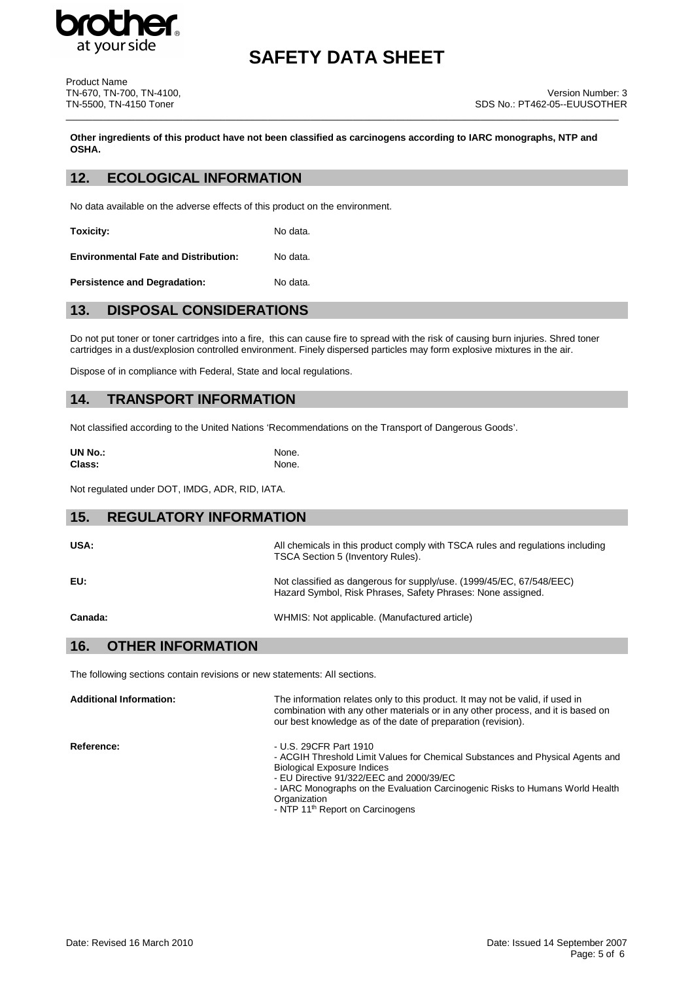

# **SAFETY DATA SHEET**

Product Name TN-670, TN-700, TN-4100, TN-5500, TN-4150 Toner

**Other ingredients of this product have not been classified as carcinogens according to IARC monographs, NTP and OSHA.**

\_\_\_\_\_\_\_\_\_\_\_\_\_\_\_\_\_\_\_\_\_\_\_\_\_\_\_\_\_\_\_\_\_\_\_\_\_\_\_\_\_\_\_\_\_\_\_\_\_\_\_\_\_\_\_\_\_\_\_\_\_\_\_\_\_\_\_\_\_\_\_\_\_\_\_\_\_\_\_\_\_\_\_\_\_\_\_\_\_\_\_\_\_\_\_\_\_\_\_\_\_\_\_\_

### **12. ECOLOGICAL INFORMATION**

No data available on the adverse effects of this product on the environment.

**Toxicity:** No data.

**Environmental Fate and Distribution:** No data.

**Persistence and Degradation:** No data.

## **13. DISPOSAL CONSIDERATIONS**

Do not put toner or toner cartridges into a fire, this can cause fire to spread with the risk of causing burn injuries. Shred toner cartridges in a dust/explosion controlled environment. Finely dispersed particles may form explosive mixtures in the air.

Dispose of in compliance with Federal, State and local regulations.

### **14. TRANSPORT INFORMATION**

Not classified according to the United Nations 'Recommendations on the Transport of Dangerous Goods'.

| <b>UN No.:</b> | None. |
|----------------|-------|
| Class:         | None. |

Not regulated under DOT, IMDG, ADR, RID, IATA.

# **15. REGULATORY INFORMATION** USA: USA: All chemicals in this product comply with TSCA rules and regulations including

| EU: | Not classified as dangerous for supply/use. (1999/45/EC, 67/548/EEC)<br>Hazard Symbol, Risk Phrases, Safety Phrases: None assigned. |
|-----|-------------------------------------------------------------------------------------------------------------------------------------|
|     |                                                                                                                                     |

**Canada:** WHMIS: Not applicable. (Manufactured article)

TSCA Section 5 (Inventory Rules).

### **16. OTHER INFORMATION**

The following sections contain revisions or new statements: All sections.

**Additional Information:** The information relates only to this product. It may not be valid, if used in combination with any other materials or in any other process, and it is based on our best knowledge as of the date of preparation (revision). **Reference:**  $-$  U.S. 29CFR Part 1910 - ACGIH Threshold Limit Values for Chemical Substances and Physical Agents and

- Biological Exposure Indices - EU Directive 91/322/EEC and 2000/39/EC
- IARC Monographs on the Evaluation Carcinogenic Risks to Humans World Health **Organization**
- NTP 11<sup>th</sup> Report on Carcinogens